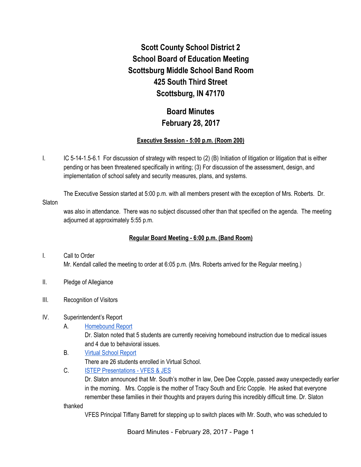# **Scott County School District 2 School Board of Education Meeting Scottsburg Middle School Band Room 425 South Third Street Scottsburg, IN 47170**

# **Board Minutes February 28, 2017**

## **Executive Session - 5:00 p.m. (Room 200)**

I. IC 5-14-1.5-6.1 For discussion of strategy with respect to (2) (B) Initiation of litigation or litigation that is either pending or has been threatened specifically in writing; (3) For discussion of the assessment, design, and implementation of school safety and security measures, plans, and systems.

The Executive Session started at 5:00 p.m. with all members present with the exception of Mrs. Roberts. Dr. **Slaton** 

was also in attendance. There was no subject discussed other than that specified on the agenda. The meeting adjourned at approximately 5:55 p.m.

# **Regular Board Meeting - 6:00 p.m. (Band Room)**

# I. Call to Order Mr. Kendall called the meeting to order at 6:05 p.m. (Mrs. Roberts arrived for the Regular meeting.)

- II. Pledge of Allegiance
- III. Recognition of Visitors

# IV. Superintendent's Report

A. [Homebound Report](https://docs.google.com/spreadsheets/d/1nH2yjClDFJFE1eyvwnoJ_QohnAEuK1Rg6GC-fj95MFM/edit#gid=0)

Dr. Slaton noted that 5 students are currently receiving homebound instruction due to medical issues and 4 due to behavioral issues.

- B. [Virtual School Report](https://docs.google.com/spreadsheets/d/1VqWTUCySaewVr388bPafcAz0ZmN3hRRCImPd9KsAips/edit#gid=0) There are 26 students enrolled in Virtual School.
- C. [ISTEP Presentations VFES & JES](https://docs.google.com/presentation/d/1MQr2YigBtZVkuzSbIo9MhzlEsvS_mPJj_ev2YHI-aHg/edit#slide=id.g1c5ac21479_1_0)

Dr. Slaton announced that Mr. South's mother in law, Dee Dee Copple, passed away unexpectedly earlier in the morning. Mrs. Copple is the mother of Tracy South and Eric Copple. He asked that everyone remember these families in their thoughts and prayers during this incredibly difficult time. Dr. Slaton

thanked

VFES Principal Tiffany Barrett for stepping up to switch places with Mr. South, who was scheduled to

Board Minutes - February 28, 2017 - Page 1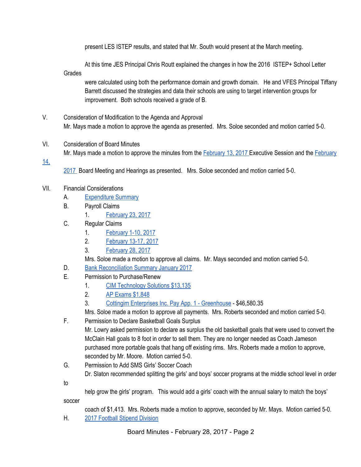present LES ISTEP results, and stated that Mr. South would present at the March meeting.

At this time JES Principal Chris Routt explained the changes in how the 2016 ISTEP+ School Letter **Grades** 

were calculated using both the performance domain and growth domain. He and VFES Principal Tiffany Barrett discussed the strategies and data their schools are using to target intervention groups for improvement. Both schools received a grade of B.

- V. Consideration of Modification to the Agenda and Approval Mr. Mays made a motion to approve the agenda as presented. Mrs. Soloe seconded and motion carried 5-0.
- VI. Consideration of Board Minutes Mr. Mays made a motion to approve the minutes from the [February 13, 2017 E](https://docs.google.com/document/d/15Z70Ccfddp6mUt108YDhqVOeZoyK_e-r15XOLRzA6a4/edit)xecutive Session and the [February](https://docs.google.com/document/d/1IEKcyIkvqiyi1DHCgjNmA5F8bxaNLOcPWR8JLo8Om4Q/edit)
- [14,](https://docs.google.com/document/d/1IEKcyIkvqiyi1DHCgjNmA5F8bxaNLOcPWR8JLo8Om4Q/edit)
- [2017](https://docs.google.com/document/d/1IEKcyIkvqiyi1DHCgjNmA5F8bxaNLOcPWR8JLo8Om4Q/edit) Board Meeting and Hearings as presented. Mrs. Soloe seconded and motion carried 5-0.
- VII. Financial Considerations
	- A. [Expenditure Summary](https://drive.google.com/file/d/0BxXvxnGh3EX1cnZueV8xWGxzWGhFQzhnQkNSYkNxTnNhbDJB/view)
	- B. Payroll Claims
		- 1. [February 23, 2017](https://drive.google.com/file/d/0BxXvxnGh3EX1UTFETDRNR2hRZGZDSGg4VjZxR1NHWG1wcW9Z/view)
	- C. Regular Claims
		- 1. [February 1-10, 2017](https://drive.google.com/file/d/0BxXvxnGh3EX1Z21zUU0tdlBINzRVOUNabUVoTUZ1Z1lDSElV/view)
		- 2. [February 13-17, 2017](https://drive.google.com/file/d/0BxXvxnGh3EX1aTV6RU1RWFpaMFZyYzEyYTJZWjViQUhyTXdZ/view)
		- 3. [February 28, 2017](https://drive.google.com/file/d/0BxXvxnGh3EX1dzRXaWNRZUwtOHhaZE10SXFieWd4b0RON1E0/view)

Mrs. Soloe made a motion to approve all claims. Mr. Mays seconded and motion carried 5-0.

- D. [Bank Reconciliation Summary January 2017](https://drive.google.com/file/d/0BxXvxnGh3EX1S2R5WTgzZHBqYV85bHhhNGtNWFZCVHF1aFQ0/view)
- E. Permission to Purchase/Renew
	- 1. [CIM Technology Solutions \\$13,135](https://drive.google.com/file/d/0BxXvxnGh3EX1T2cwMnVYaVc1dEQ0U1R4QnRVWkhKVlRFNklr/view)
	- 2. [AP Exams \\$1,848](https://drive.google.com/file/d/0BxXvxnGh3EX1YmItVE1HUkVOM0JhSjFfNXl5clA0TTh6NHVr/view)
	- 3. [Cottingim Enterprises Inc. Pay App. 1 Greenhouse](https://drive.google.com/file/d/0BxXvxnGh3EX1M2NJYV9DMnhCTHR5OU50bEIzUmNZS3ZWZ1Zn/view)  \$46,580.35

Mrs. Soloe made a motion to approve all payments. Mrs. Roberts seconded and motion carried 5-0.

F. Permission to Declare Basketball Goals Surplus

Mr. Lowry asked permission to declare as surplus the old basketball goals that were used to convert the McClain Hall goals to 8 foot in order to sell them. They are no longer needed as Coach Jameson purchased more portable goals that hang off existing rims. Mrs. Roberts made a motion to approve, seconded by Mr. Moore. Motion carried 5-0.

G. Permission to Add SMS Girls' Soccer Coach

Dr. Slaton recommended splitting the girls' and boys' soccer programs at the middle school level in order

to

help grow the girls' program. This would add a girls' coach with the annual salary to match the boys' soccer

coach of \$1,413. Mrs. Roberts made a motion to approve, seconded by Mr. Mays. Motion carried 5-0.

H. [2017 Football Stipend Division](https://docs.google.com/spreadsheets/d/1JSQXyiUlRc7TlfIIv_GJdDEg2A9zjwVatinwHvxFGlc/edit#gid=577382403)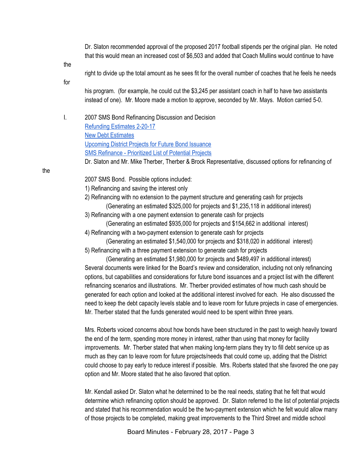Dr. Slaton recommended approval of the proposed 2017 football stipends per the original plan. He noted that this would mean an increased cost of \$6,503 and added that Coach Mullins would continue to have

the

right to divide up the total amount as he sees fit for the overall number of coaches that he feels he needs

for

his program. (for example, he could cut the \$3,245 per assistant coach in half to have two assistants instead of one). Mr. Moore made a motion to approve, seconded by Mr. Mays. Motion carried 5-0.

I. 2007 SMS Bond Refinancing Discussion and Decision [Refunding Estimates 2-20-17](https://docs.google.com/spreadsheets/d/1teqz7ahrkmOMLsJOi0VB7Y5Uyy6hZbO7kl4CVRM1CtQ/edit#gid=1135115367) [New Debt Estimates](https://docs.google.com/spreadsheets/d/1-CfjlMAj2GIhQL_jdNvb2oUKvb_K52YBpeck6B4rfWo/edit#gid=297319020) [Upcoming District Projects for Future Bond Issuance](https://docs.google.com/spreadsheets/d/1YaFqdxOTF2TN6Ac9jHwJ8EBVw3JkFgZaWaMsH0hx50Q/edit#gid=0) [SMS Refinance - Prioritized List of Potential Projects](https://docs.google.com/spreadsheets/d/1pWH3rbchcrrGXVxMMEs2ujL9rvqQGHh7KjK2C-ZYbQQ/edit#gid=0)

Dr. Slaton and Mr. Mike Therber, Therber & Brock Representative, discussed options for refinancing of

2007 SMS Bond. Possible options included:

- 1) Refinancing and saving the interest only
- 2) Refinancing with no extension to the payment structure and generating cash for projects (Generating an estimated \$325,000 for projects and \$1,235,118 in additional interest)
- 3) Refinancing with a one payment extension to generate cash for projects

(Generating an estimated \$935,000 for projects and \$154,662 in additional interest)

- 4) Refinancing with a two-payment extension to generate cash for projects
- (Generating an estimated \$1,540,000 for projects and \$318,020 in additional interest) 5) Refinancing with a three payment extension to generate cash for projects

(Generating an estimated \$1,980,000 for projects and \$489,497 in additional interest) Several documents were linked for the Board's review and consideration, including not only refinancing options, but capabilities and considerations for future bond issuances and a project list with the different refinancing scenarios and illustrations. Mr. Therber provided estimates of how much cash should be generated for each option and looked at the additional interest involved for each. He also discussed the need to keep the debt capacity levels stable and to leave room for future projects in case of emergencies. Mr. Therber stated that the funds generated would need to be spent within three years.

Mrs. Roberts voiced concerns about how bonds have been structured in the past to weigh heavily toward the end of the term, spending more money in interest, rather than using that money for facility improvements. Mr. Therber stated that when making long-term plans they try to fill debt service up as much as they can to leave room for future projects/needs that could come up, adding that the District could choose to pay early to reduce interest if possible. Mrs. Roberts stated that she favored the one pay option and Mr. Moore stated that he also favored that option.

Mr. Kendall asked Dr. Slaton what he determined to be the real needs, stating that he felt that would determine which refinancing option should be approved. Dr. Slaton referred to the list of potential projects and stated that his recommendation would be the two-payment extension which he felt would allow many of those projects to be completed, making great improvements to the Third Street and middle school

Board Minutes - February 28, 2017 - Page 3

the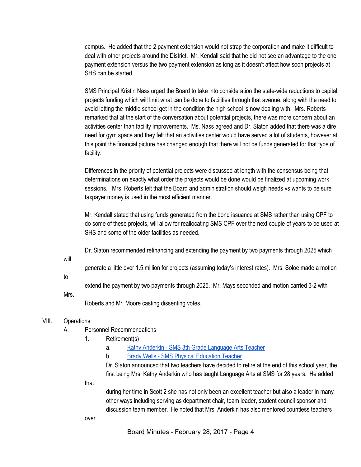campus. He added that the 2 payment extension would not strap the corporation and make it difficult to deal with other projects around the District. Mr. Kendall said that he did not see an advantage to the one payment extension versus the two payment extension as long as it doesn't affect how soon projects at SHS can be started.

SMS Principal Kristin Nass urged the Board to take into consideration the state-wide reductions to capital projects funding which will limit what can be done to facilities through that avenue, along with the need to avoid letting the middle school get in the condition the high school is now dealing with. Mrs. Roberts remarked that at the start of the conversation about potential projects, there was more concern about an activities center than facility improvements. Ms. Nass agreed and Dr. Slaton added that there was a dire need for gym space and they felt that an activities center would have served a lot of students, however at this point the financial picture has changed enough that there will not be funds generated for that type of facility.

Differences in the priority of potential projects were discussed at length with the consensus being that determinations on exactly what order the projects would be done would be finalized at upcoming work sessions. Mrs. Roberts felt that the Board and administration should weigh needs vs wants to be sure taxpayer money is used in the most efficient manner.

Mr. Kendall stated that using funds generated from the bond issuance at SMS rather than using CPF to do some of these projects, will allow for reallocating SMS CPF over the next couple of years to be used at SHS and some of the older facilities as needed.

Dr. Slaton recommended refinancing and extending the payment by two payments through 2025 which

will

generate a little over 1.5 million for projects (assuming today's interest rates). Mrs. Soloe made a motion

to

extend the payment by two payments through 2025. Mr. Mays seconded and motion carried 3-2 with

Mrs.

Roberts and Mr. Moore casting dissenting votes.

#### VIII. Operations

- A. Personnel Recommendations
	- 1. Retirement(s)
		- a. [Kathy Anderkin SMS 8th Grade Language Arts Teacher](https://drive.google.com/file/d/0BxXvxnGh3EX1VGt2dmNzVENlQUw2aDhZZWVqWm94Ung3Zko4/view)
		- b. [Brady Wells SMS Physical Education Teacher](https://drive.google.com/file/d/0BxXvxnGh3EX1UURtQ1JuZ21mYlFLMXZpRVZ6WFJOWldsdTlV/view)

Dr. Slaton announced that two teachers have decided to retire at the end of this school year, the first being Mrs. Kathy Anderkin who has taught Language Arts at SMS for 28 years. He added

that

during her time in Scott 2 she has not only been an excellent teacher but also a leader in many other ways including serving as department chair, team leader, student council sponsor and discussion team member. He noted that Mrs. Anderkin has also mentored countless teachers

over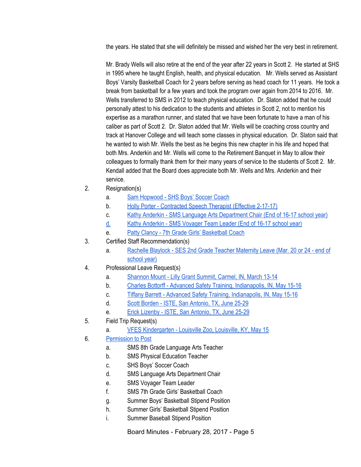the years. He stated that she will definitely be missed and wished her the very best in retirement.

Mr. Brady Wells will also retire at the end of the year after 22 years in Scott 2. He started at SHS in 1995 where he taught English, health, and physical education. Mr. Wells served as Assistant Boys' Varsity Basketball Coach for 2 years before serving as head coach for 11 years. He took a break from basketball for a few years and took the program over again from 2014 to 2016. Mr. Wells transferred to SMS in 2012 to teach physical education. Dr. Slaton added that he could personally attest to his dedication to the students and athletes in Scott 2, not to mention his expertise as a marathon runner, and stated that we have been fortunate to have a man of his caliber as part of Scott 2. Dr. Slaton added that Mr. Wells will be coaching cross country and track at Hanover College and will teach some classes in physical education. Dr. Slaton said that he wanted to wish Mr. Wells the best as he begins this new chapter in his life and hoped that both Mrs. Anderkin and Mr. Wells will come to the Retirement Banquet in May to allow their colleagues to formally thank them for their many years of service to the students of Scott 2. Mr. Kendall added that the Board does appreciate both Mr. Wells and Mrs. Anderkin and their service.

- 2. Resignation(s)
	- a. [Sam Hopwood SHS Boys' Soccer Coach](https://drive.google.com/file/d/0BxXvxnGh3EX1VjNsRW0wdGhiY2d5SlMzMksyN1JJNnU4TUs4/view)
	- b. [Holly Porter Contracted Speech Therapist \(Effective 2-17-17\)](https://drive.google.com/file/d/0BxXvxnGh3EX1aC0zSGg2N0hGblFwaHRRUklKRGt0NzRDYm1n/view)
	- c. [Kathy Anderkin SMS Language Arts Department Chair \(End of 16-17 school year\)](https://drive.google.com/drive/folders/0BxXvxnGh3EX1Y2MyMzBxZkNZZGc)
	- [d.](https://drive.google.com/drive/folders/0BxXvxnGh3EX1Y2MyMzBxZkNZZGc) [Kathy Anderkin SMS Voyager Team Leader \(End of 16-17 school year\)](https://drive.google.com/drive/folders/0BxXvxnGh3EX1Y2MyMzBxZkNZZGc)
	- e. [Patty Clancy 7th Grade Girls' Basketball Coach](https://drive.google.com/file/d/0BxXvxnGh3EX1NXlzNVpBc2RQTTdFS3lUc3JLVjJ6YTlfTFNJ/view)
- 3. Certified Staff Recommendation(s)
	- a. [Rachelle Blaylock SES 2nd Grade Teacher Maternity Leave \(Mar. 20 or 24 end of](https://drive.google.com/file/d/0BxXvxnGh3EX1Z1g2R2JST3FHOXNhbEdWX0xObUo4dGpNMEd3/view) [school year\)](https://drive.google.com/file/d/0BxXvxnGh3EX1Z1g2R2JST3FHOXNhbEdWX0xObUo4dGpNMEd3/view)
- 4. Professional Leave Request(s)
	- a. [Shannon Mount Lilly Grant Summit, Carmel, IN, March 13-14](https://drive.google.com/file/d/0BxXvxnGh3EX1dG5vLUYybkdSUVFvbDVXUmk5NnRrNnBvYUZz/view)
	- b. [Charles Bottorff Advanced Safety Training, Indianapolis, IN, May 15-16](https://drive.google.com/file/d/0BxXvxnGh3EX1UUtUbG1BeFhaclROcEF5Rk4xZ1BtbGRUM3k4/view)
	- c. [Tiffany Barrett Advanced Safety Training, Indianapolis, IN, May 15-16](https://drive.google.com/file/d/0BxXvxnGh3EX1MVcySFVNVTh5WW5kenZ4b1hGaVBNQllLUjJv/view)
	- d. [Scott Borden ISTE, San Antonio, TX, June 25-29](https://drive.google.com/file/d/0BxXvxnGh3EX1c1ZkMU5rLUtFOVJHVjRhMUZzeFBkcnk5d0g4/view)
	- e. [Erick Lizenby ISTE, San Antonio, TX, June 25-29](https://drive.google.com/file/d/0BxXvxnGh3EX1VEt0eDh1enlEXzZ1UUtIbUJYeEZ5dnBoc3ZV/view)
- 5. Field Trip Request(s)
	- a. [VFES Kindergarten Louisville Zoo, Louisville, KY, May 15](https://drive.google.com/file/d/0BxXvxnGh3EX1RUJOeFJIQkEtLUxwQUNheDUzRXVyTlJJZ3VR/view)
- 6. [Permission to Post](https://docs.google.com/document/d/1nBqnq9mTyYxZ-AdM1B4KKj7wXs2k-1dhpk0GR02JyLI/edit)
	- a. SMS 8th Grade Language Arts Teacher
	- b. SMS Physical Education Teacher
	- c. SHS Boys' Soccer Coach
	- d. SMS Language Arts Department Chair
	- e. SMS Voyager Team Leader
	- f. SMS 7th Grade Girls' Basketball Coach
	- g. Summer Boys' Basketball Stipend Position
	- h. Summer Girls' Basketball Stipend Position
	- i. Summer Baseball Stipend Position

Board Minutes - February 28, 2017 - Page 5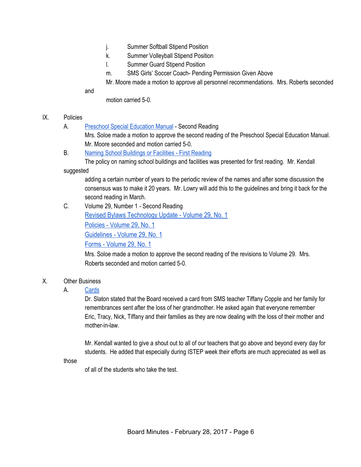- j. Summer Softball Stipend Position
- k. Summer Volleyball Stipend Position
- l. Summer Guard Stipend Position
- m. SMS Girls' Soccer Coach- Pending Permission Given Above

Mr. Moore made a motion to approve all personnel recommendations. Mrs. Roberts seconded

and

motion carried 5-0.

### IX. Policies

A. [Preschool Special Education Manual](https://docs.google.com/document/d/1jQMuAm4HyY0wHRl21DXOTWCoBUmyy_iMRHgN05YBS1g/edit) - Second Reading

Mrs. Soloe made a motion to approve the second reading of the Preschool Special Education Manual. Mr. Moore seconded and motion carried 5-0.

B. [Naming School Buildings or Facilities - First Reading](https://docs.google.com/document/d/1n-ZOzOzNwkO63h4lClcu_rf_rCzJaAbZ082f17o7PA8/edit)

The policy on naming school buildings and facilities was presented for first reading. Mr. Kendall

suggested

adding a certain number of years to the periodic review of the names and after some discussion the consensus was to make it 20 years. Mr. Lowry will add this to the guidelines and bring it back for the second reading in March.

## C. Volume 29, Number 1 - Second Reading

[Revised Bylaws Technology Update - Volume 29, No. 1](https://drive.google.com/file/d/0BxXvxnGh3EX1MjgyVl9leWw5QlVJQ2NMMEhrUFpJZlQ3MHV3/view)

[Policies - Volume 29, No. 1](https://drive.google.com/file/d/0BxXvxnGh3EX1WlR3QXFwQ2FVR3MxbzZ2NGp2MU13N1JoVDY0/view)

[Guidelines - Volume 29, No. 1](https://drive.google.com/file/d/0BxXvxnGh3EX1M3F2eWVVb3dKR2hDanVTQ0ZTWlhlejJNTkdF/view)

[Forms - Volume 29, No. 1](https://drive.google.com/file/d/0BxXvxnGh3EX1ZUotOEZtVF9td2hPbkU2QU1pTzc3bmxUZURv/view)

Mrs. Soloe made a motion to approve the second reading of the revisions to Volume 29. Mrs. Roberts seconded and motion carried 5-0.

## X. Other Business

## A. [Cards](https://drive.google.com/file/d/0BxXvxnGh3EX1Rk1mVzYyYy10b1MwMnh6aDRYSDB0VHBnYUNj/view)

Dr. Slaton stated that the Board received a card from SMS teacher Tiffany Copple and her family for remembrances sent after the loss of her grandmother. He asked again that everyone remember Eric, Tracy, Nick, Tiffany and their families as they are now dealing with the loss of their mother and mother-in-law.

Mr. Kendall wanted to give a shout out to all of our teachers that go above and beyond every day for students. He added that especially during ISTEP week their efforts are much appreciated as well as

those

of all of the students who take the test.